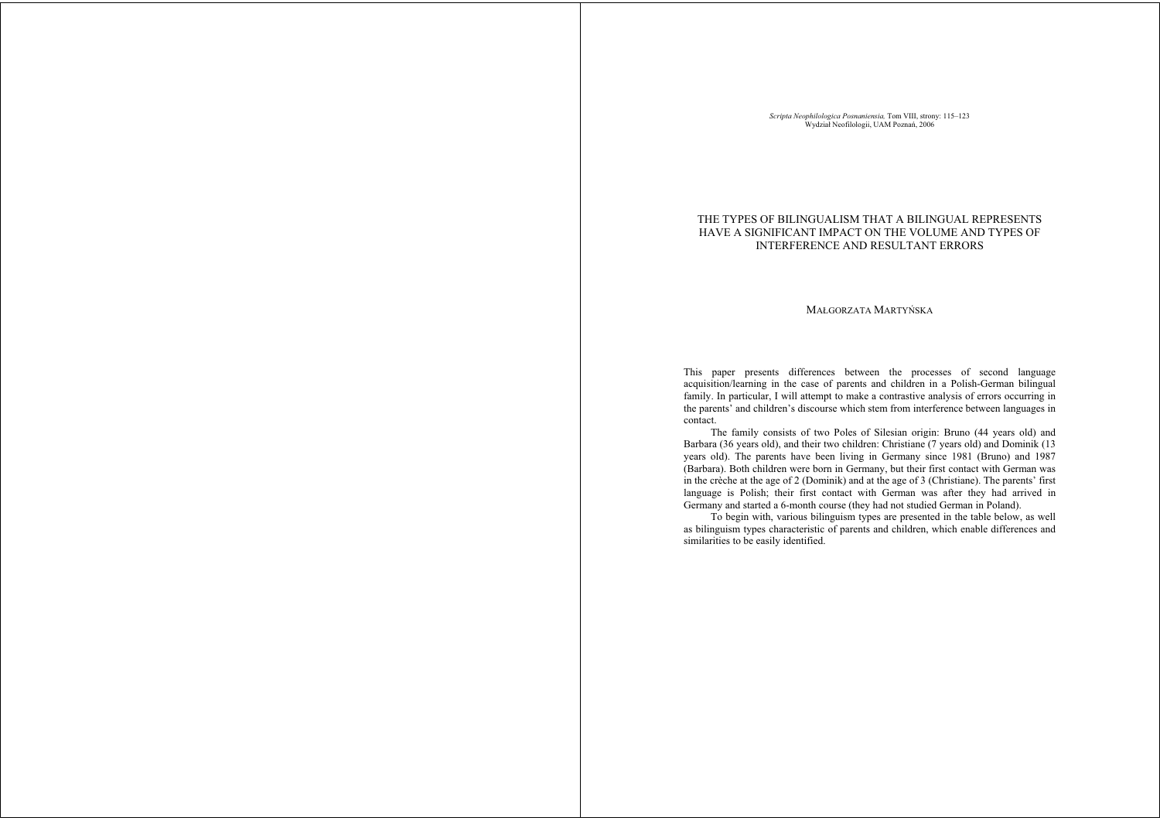*Scripta Neophilologica Posnaniensia,* Tom VIII, strony: 115–123<br>Wydział Neofilologii, UAM Poznań, 2006

## THE TYPES OF BILINGUALISM THAT A BILINGUAL REPRESENTS HAVE A SIGNIFICANT IMPACT ON THE VOLUME AND TYPES OF INTERFERENCE AND RESULTANT ERRORS

### MAŁGORZATA MARTYŃSKA

This paper presents differences between the processes of second language acquisition/learning in the case of parents and children in a Polish-German bilingual family. In particular, I will attempt to make a contrastive analysis of errors occurring in the parents' and children's discourse which stem from interference between languages in contact.

 The family consists of two Poles of Silesian origin: Bruno (44 years old) and Barbara (36 years old), and their two children: Christiane (7 years old) and Dominik (13 years old). The parents have been living in Germany since 1981 (Bruno) and 1987 (Barbara). Both children were born in Germany, but their first contact with German was in the crèche at the age of 2 (Dominik) and at the age of 3 (Christiane). The parents' first language is Polish; their first contact with German was after they had arrived in Germany and started a 6-month course (they had not studied German in Poland).

 To begin with, various bilinguism types are presented in the table below, as well as bilinguism types characteristic of parents and children, which enable differences and similarities to be easily identified.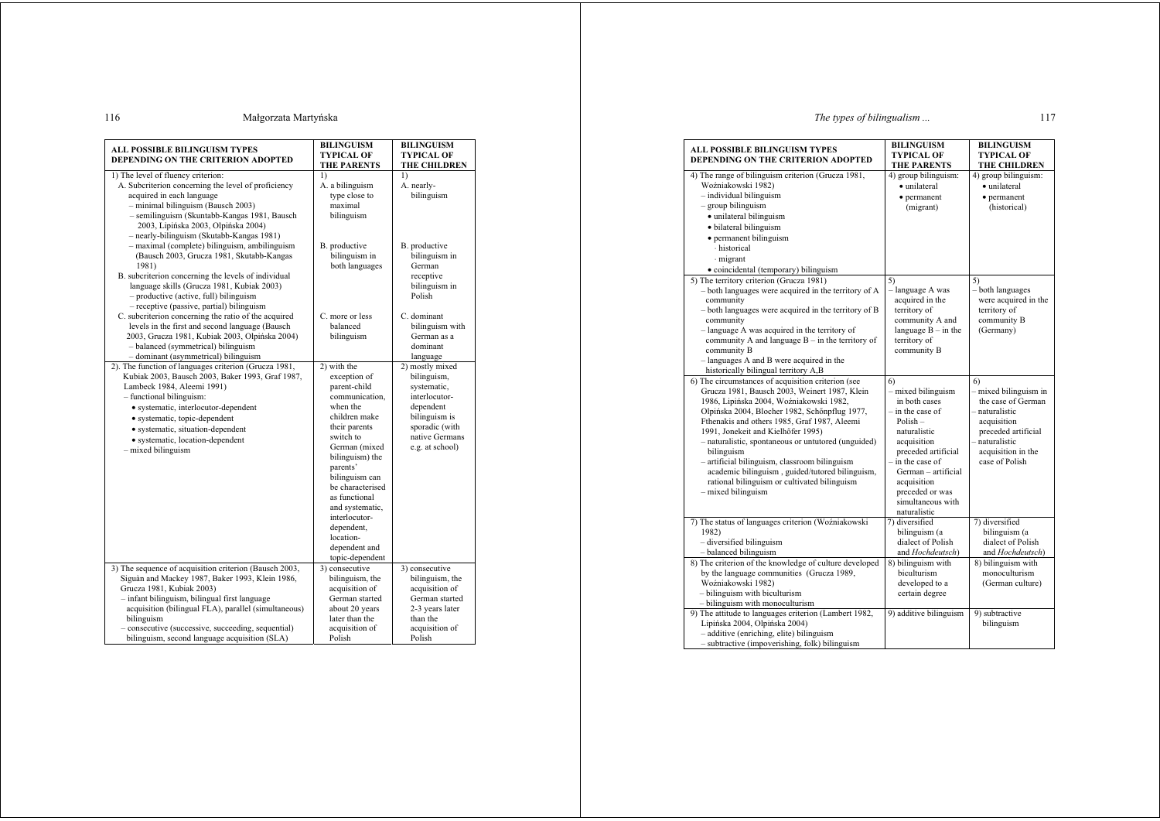# The types of bilingualism...

117

| ALL POSSIBLE BILINGUISM TYPES<br>DEPENDING ON THE CRITERION ADOPTED                                                                                                                                                                                                                                                                                                  | <b>BILINGUISM</b><br><b>TYPICAL OF</b><br>THE PARENTS                                                                                                                                                                                                                                                                              | <b>BILINGUISM</b><br><b>TYPICAL OF</b><br>THE CHILDREN                                                                                              |
|----------------------------------------------------------------------------------------------------------------------------------------------------------------------------------------------------------------------------------------------------------------------------------------------------------------------------------------------------------------------|------------------------------------------------------------------------------------------------------------------------------------------------------------------------------------------------------------------------------------------------------------------------------------------------------------------------------------|-----------------------------------------------------------------------------------------------------------------------------------------------------|
| 1) The level of fluency criterion:<br>A. Subcriterion concerning the level of proficiency<br>acquired in each language<br>- minimal bilinguism (Bausch 2003)<br>- semilinguism (Skuntabb-Kangas 1981, Bausch<br>2003, Lipińska 2003, Olpińska 2004)<br>- nearly-bilinguism (Skutabb-Kangas 1981)                                                                     | $\overline{1}$<br>A. a bilinguism<br>type close to<br>maximal<br>bilinguism                                                                                                                                                                                                                                                        | $_{1}$<br>A. nearly-<br>bilinguism                                                                                                                  |
| - maximal (complete) bilinguism, ambilinguism<br>(Bausch 2003, Grucza 1981, Skutabb-Kangas<br>1981)<br>B. subcriterion concerning the levels of individual<br>language skills (Grucza 1981, Kubiak 2003)<br>- productive (active, full) bilinguism<br>- receptive (passive, partial) bilinguism                                                                      | B. productive<br>bilinguism in<br>both languages                                                                                                                                                                                                                                                                                   | B. productive<br>bilinguism in<br>German<br>receptive<br>bilinguism in<br>Polish                                                                    |
| C. subcriterion concerning the ratio of the acquired<br>levels in the first and second language (Bausch<br>2003, Grucza 1981, Kubiak 2003, Olpińska 2004)<br>- balanced (symmetrical) bilinguism<br>- dominant (asymmetrical) bilinguism                                                                                                                             | C. more or less<br>balanced<br>bilinguism                                                                                                                                                                                                                                                                                          | C. dominant<br>bilinguism with<br>German as a<br>dominant<br>language                                                                               |
| 2). The function of languages criterion (Grucza 1981,<br>Kubiak 2003, Bausch 2003, Baker 1993, Graf 1987,<br>Lambeck 1984, Aleemi 1991)<br>- functional bilinguism:<br>· systematic, interlocutor-dependent<br>· systematic, topic-dependent<br>· systematic, situation-dependent<br>• systematic, location-dependent<br>- mixed bilinguism                          | 2) with the<br>exception of<br>parent-child<br>communication,<br>when the<br>children make<br>their parents<br>switch to<br>German (mixed<br>bilinguism) the<br>parents'<br>bilinguism can<br>be characterised<br>as functional<br>and systematic,<br>interlocutor-<br>dependent,<br>location-<br>dependent and<br>topic-dependent | 2) mostly mixed<br>bilinguism,<br>systematic,<br>interlocutor-<br>dependent<br>bilinguism is<br>sporadic (with<br>native Germans<br>e.g. at school) |
| 3) The sequence of acquisition criterion (Bausch 2003,<br>Siguàn and Mackey 1987, Baker 1993, Klein 1986,<br>Grucza 1981, Kubiak 2003)<br>- infant bilinguism, bilingual first language<br>acquisition (bilingual FLA), parallel (simultaneous)<br>bilinguism<br>- consecutive (successive, succeeding, sequential)<br>bilinguism, second language acquisition (SLA) | 3) consecutive<br>bilinguism, the<br>acquisition of<br>German started<br>about 20 years<br>later than the<br>acquisition of<br>Polish                                                                                                                                                                                              | 3) consecutive<br>bilinguism, the<br>acquisition of<br>German started<br>2-3 years later<br>than the<br>acquisition of<br>Polish                    |

Małgorzata Martyńska

| ALL POSSIBLE BILINGUISM TYPES<br>DEPENDING ON THE CRITERION ADOPTED                                                                                                                                                                                                                                                                                                                                                                                                                                                                    | <b>BILINGUISM</b><br><b>TYPICAL OF</b><br><b>THE PARENTS</b>                                                                                                                                                                                            | <b>BILINGUISM</b><br><b>TYPICAL OF</b><br><b>THE CHILDREN</b>                                                                                                     |
|----------------------------------------------------------------------------------------------------------------------------------------------------------------------------------------------------------------------------------------------------------------------------------------------------------------------------------------------------------------------------------------------------------------------------------------------------------------------------------------------------------------------------------------|---------------------------------------------------------------------------------------------------------------------------------------------------------------------------------------------------------------------------------------------------------|-------------------------------------------------------------------------------------------------------------------------------------------------------------------|
| 4) The range of bilinguism criterion (Grucza 1981,<br>Woźniakowski 1982)<br>$-$ individual bilinguism<br>$-$ group bilinguism<br>· unilateral bilinguism<br>· bilateral bilinguism<br>• permanent bilinguism<br>historical<br>migrant                                                                                                                                                                                                                                                                                                  | 4) group bilinguism:<br>· unilateral<br>· permanent<br>(migrant)                                                                                                                                                                                        | 4) group bilinguism:<br>· unilateral<br>• permanent<br>(historical)                                                                                               |
| · coincidental (temporary) bilinguism<br>5) The territory criterion (Grucza 1981)<br>- both languages were acquired in the territory of A<br>community<br>- both languages were acquired in the territory of B<br>community<br>- language A was acquired in the territory of<br>community A and language $B - in$ the territory of<br>community B<br>- languages A and B were acquired in the<br>historically bilingual territory A,B                                                                                                  | 5)<br>- language A was<br>acquired in the<br>territory of<br>community A and<br>language $B - in$ the<br>territory of<br>community B                                                                                                                    | 5)<br>- both languages<br>were acquired in the<br>territory of<br>community B<br>(Germany)                                                                        |
| 6) The circumstances of acquisition criterion (see<br>Grucza 1981, Bausch 2003, Weinert 1987, Klein<br>1986, Lipińska 2004, Woźniakowski 1982,<br>Olpińska 2004, Blocher 1982, Schönpflug 1977,<br>Fthenakis and others 1985, Graf 1987, Aleemi<br>1991, Jonekeit and Kielhöfer 1995)<br>- naturalistic, spontaneous or untutored (unguided)<br>bilinguism<br>- artificial bilinguism, classroom bilinguism<br>academic bilinguism, guided/tutored bilinguism,<br>rational bilinguism or cultivated bilinguism<br>$-$ mixed bilinguism | 6)<br>- mixed bilinguism<br>in both cases<br>$-$ in the case of<br>$Polish -$<br>naturalistic<br>acquisition<br>preceded artificial<br>$-$ in the case of<br>German - artificial<br>acquisition<br>preceded or was<br>simultaneous with<br>naturalistic | 6)<br>- mixed bilinguism in<br>the case of German<br>- naturalistic<br>acquisition<br>preceded artificial<br>naturalistic<br>acquisition in the<br>case of Polish |
| 7) The status of languages criterion (Woźniakowski<br>1982)<br>- diversified bilinguism<br>- balanced bilinguism<br>8) The criterion of the knowledge of culture developed<br>by the language communities (Grucza 1989,<br>Woźniakowski 1982)                                                                                                                                                                                                                                                                                          | $\overline{7}$ diversified<br>bilinguism (a<br>dialect of Polish<br>and Hochdeutsch)<br>8) bilinguism with<br>biculturism<br>developed to a                                                                                                             | 7) diversified<br>bilinguism (a<br>dialect of Polish<br>and Hochdeutsch)<br>8) bilinguism with<br>monoculturism<br>(German culture)                               |
| - bilinguism with biculturism<br>- bilinguism with monoculturism<br>9) The attitude to languages criterion (Lambert 1982,<br>Lipińska 2004, Olpińska 2004)<br>- additive (enriching, elite) bilinguism<br>- subtractive (impoverishing, folk) bilinguism                                                                                                                                                                                                                                                                               | certain degree<br>9) additive bilinguism                                                                                                                                                                                                                | 9) subtractive<br>bilinguism                                                                                                                                      |

116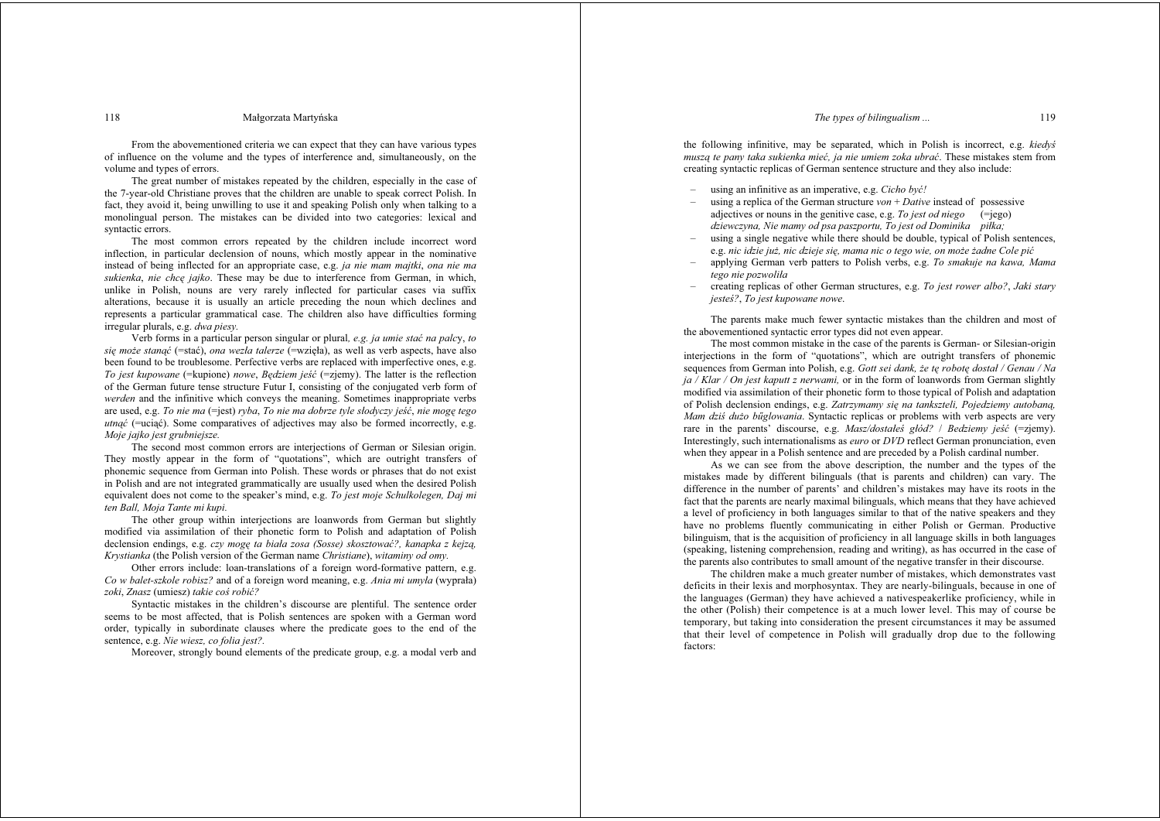#### The types of bilingualism...

#### Małgorzata Martyńska

From the abovementioned criteria we can expect that they can have various types of influence on the volume and the types of interference and, simultaneously, on the volume and types of errors.

The great number of mistakes repeated by the children, especially in the case of the 7-year-old Christiane proves that the children are unable to speak correct Polish. In fact, they avoid it, being unwilling to use it and speaking Polish only when talking to a monolingual person. The mistakes can be divided into two categories: lexical and syntactic errors.

The most common errors repeated by the children include incorrect word inflection, in particular declension of nouns, which mostly appear in the nominative instead of being inflected for an appropriate case, e.g. *ja nie mam majtki*, *ona nie ma* sukienka, nie chce jajko. These may be due to interference from German, in which, unlike in Polish, nouns are very rarely inflected for particular cases via suffix alterations, because it is usually an article preceding the noun which declines and represents a particular grammatical case. The children also have difficulties forming irregular plurals, e.g. dwa piesy.

Verb forms in a particular person singular or plural, e.g. ja umie stać na palcy, to sie może stanać (=stać), ona wezła talerze (=wzieła), as well as verb aspects, have also been found to be troublesome. Perfective verbs are replaced with imperfective ones, e.g. To jest kunowane (=kupione) nowe. Bedziem jeść (=ziemy). The latter is the reflection of the German future tense structure Futur I, consisting of the conjugated verb form of werden and the infinitive which conveys the meaning. Sometimes inappropriate verbs are used, e.g. To nie ma (=jest) ryba, To nie ma dobrze tyle słodyczy jeść, nie mogę tego utnać (=uciąć). Some comparatives of adjectives may also be formed incorrectly, e.g. Moie jaiko jest grubniejsze.

The second most common errors are interjections of German or Silesian origin. They mostly appear in the form of "quotations", which are outright transfers of phonemic sequence from German into Polish. These words or phrases that do not exist in Polish and are not integrated grammatically are usually used when the desired Polish equivalent does not come to the speaker's mind, e.g. To jest moje Schulkolegen, Daj mi ten Ball, Moja Tante mi kupi.

The other group within interjections are loanwords from German but slightly modified via assimilation of their phonetic form to Polish and adaptation of Polish declension endings, e.g. czy mogę ta biała zosa (Sosse) skosztować?, kanapka z kejzą, Krystianka (the Polish version of the German name Christiane), witaminy od omy.

Other errors include: loan-translations of a foreign word-formative pattern, e.g. Co w balet-szkole robisz? and of a foreign word meaning, e.g. Ania mi umyla (wyprała) zoki Znasz (umiesz) takie coś robić?

Syntactic mistakes in the children's discourse are plentiful. The sentence order seems to be most affected, that is Polish sentences are spoken with a German word order, typically in subordinate clauses where the predicate goes to the end of the sentence, e.g. Nie wiesz, co folia jest?

Moreover, strongly bound elements of the predicate group, e.g. a modal verb and

the following infinitive, may be separated, which in Polish is incorrect, e.g. kiedys muszą te pany taka sukienka mieć, ja nie umiem zoka ubrać. These mistakes stem from creating syntactic replicas of German sentence structure and they also include:

- $\overline{a}$ using an infinitive as an imperative, e.g. Cicho być!
- using a replica of the German structure  $von + Dative$  instead of possessive adjectives or nouns in the genitive case, e.g. To jest od niego  $( = |e\rangle)$ dziewczyna. Nie mamy od psa paszportu. To jest od Dominika piłka:
- using a single negative while there should be double, typical of Polish sentences. e.g. nic idzie już. nic dzieje się, mama nic o tego wię, on może żadne Cole pić
- applying German verb patters to Polish verbs, e.g. To smakuje na kawa. Mama tego nie pozwoliła
- creating replicas of other German structures, e.g. To jest rower albo?, Jaki stary jesteś?, To jest kupowane nowe.

The parents make much fewer syntactic mistakes than the children and most of the abovementioned syntactic error types did not even appear.

The most common mistake in the case of the parents is German- or Silesian-origin interjections in the form of "quotations", which are outright transfers of phonemic sequences from German into Polish, e.g. Gott sei dank, że tę robotę dostał / Genau / Na ia / Klar / On jest kaputt z nerwami, or in the form of loanwords from German slightly modified via assimilation of their phonetic form to those typical of Polish and adaptation of Polish declension endings, e.g. Zatrzymamy sie na tankszteli. Pojedziemy autobana. Mam dziś dużo bűglowania. Syntactic replicas or problems with verb aspects are very rare in the parents' discourse, e.g. Masz/dostales glod? / Bedziemy jeść (=zjemy). Interestingly, such internationalisms as *euro* or *DVD* reflect German pronunciation, even when they appear in a Polish sentence and are preceded by a Polish cardinal number.

As we can see from the above description the number and the types of the mistakes made by different bilinguals (that is parents and children) can vary. The difference in the number of parents' and children's mistakes may have its roots in the fact that the parents are nearly maximal bilinguals, which means that they have achieved a level of proficiency in both languages similar to that of the native speakers and they have no problems fluently communicating in either Polish or German. Productive bilinguism, that is the acquisition of proficiency in all language skills in both languages (speaking, listening comprehension, reading and writing), as has occurred in the case of the parents also contributes to small amount of the negative transfer in their discourse.

The children make a much greater number of mistakes, which demonstrates vast deficits in their lexis and morphosyntax. They are nearly-bilinguals, because in one of the languages (German) they have achieved a native speakerlike proficiency, while in the other (Polish) their competence is at a much lower level. This may of course be temporary, but taking into consideration the present circumstances it may be assumed that their level of competence in Polish will gradually drop due to the following factors:

118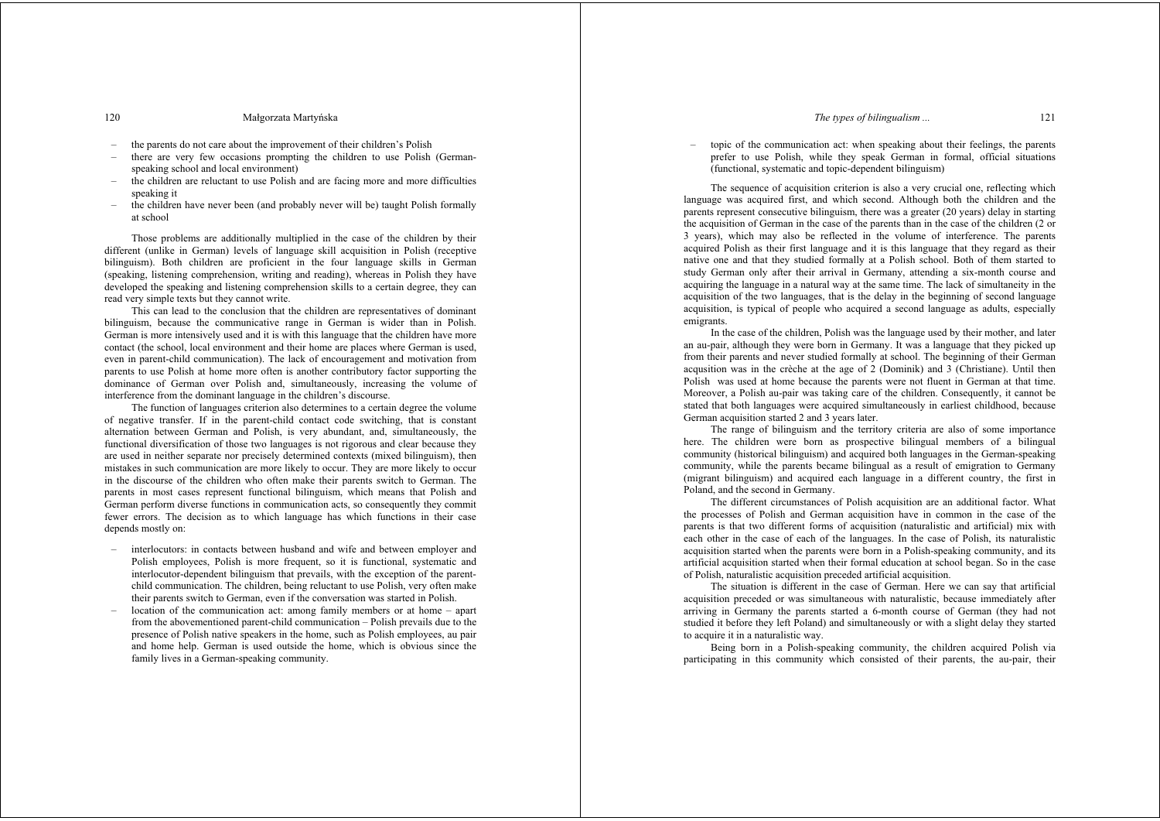#### *The types of bilingualism ...* 121

#### 120 Małgorzata Martyńska

- the parents do not care about the improvement of their children's Polish
- there are very few occasions prompting the children to use Polish (Germanspeaking school and local environment)
- the children are reluctant to use Polish and are facing more and more difficulties speaking it
- the children have never been (and probably never will be) taught Polish formally at school

 Those problems are additionally multiplied in the case of the children by their different (unlike in German) levels of language skill acquisition in Polish (receptive bilinguism). Both children are proficient in the four language skills in German (speaking, listening comprehension, writing and reading), whereas in Polish they have developed the speaking and listening comprehension skills to a certain degree, they can read very simple texts but they cannot write.

 This can lead to the conclusion that the children are representatives of dominant bilinguism, because the communicative range in German is wider than in Polish. German is more intensively used and it is with this language that the children have more contact (the school, local environment and their home are places where German is used, even in parent-child communication). The lack of encouragement and motivation from parents to use Polish at home more often is another contributory factor supporting the dominance of German over Polish and, simultaneously, increasing the volume of interference from the dominant language in the children's discourse.

 The function of languages criterion also determines to a certain degree the volume of negative transfer. If in the parent-child contact code switching, that is constant alternation between German and Polish, is very abundant, and, simultaneously, the functional diversification of those two languages is not rigorous and clear because they are used in neither separate nor precisely determined contexts (mixed bilinguism), then mistakes in such communication are more likely to occur. They are more likely to occur in the discourse of the children who often make their parents switch to German. The parents in most cases represent functional bilinguism, which means that Polish and German perform diverse functions in communication acts, so consequently they commit fewer errors. The decision as to which language has which functions in their case depends mostly on:

- interlocutors: in contacts between husband and wife and between employer and Polish employees, Polish is more frequent, so it is functional, systematic and interlocutor-dependent bilinguism that prevails, with the exception of the parentchild communication. The children, being reluctant to use Polish, very often make their parents switch to German, even if the conversation was started in Polish.
- location of the communication act: among family members or at home apart from the abovementioned parent-child communication – Polish prevails due to the presence of Polish native speakers in the home, such as Polish employees, au pair and home help. German is used outside the home, which is obvious since the family lives in a German-speaking community.

– topic of the communication act: when speaking about their feelings, the parents prefer to use Polish, while they speak German in formal, official situations (functional, systematic and topic-dependent bilinguism)

 The sequence of acquisition criterion is also a very crucial one, reflecting which language was acquired first, and which second. Although both the children and the parents represent consecutive bilinguism, there was a greater (20 years) delay in starting the acquisition of German in the case of the parents than in the case of the children (2 or 3 years), which may also be reflected in the volume of interference. The parents acquired Polish as their first language and it is this language that they regard as their native one and that they studied formally at a Polish school. Both of them started to study German only after their arrival in Germany, attending a six-month course and acquiring the language in a natural way at the same time. The lack of simultaneity in the acquisition of the two languages, that is the delay in the beginning of second language acquisition, is typical of people who acquired a second language as adults, especially emigrants.

 In the case of the children, Polish was the language used by their mother, and later an au-pair, although they were born in Germany. It was a language that they picked up from their parents and never studied formally at school. The beginning of their German acqusition was in the crèche at the age of 2 (Dominik) and 3 (Christiane). Until then Polish was used at home because the parents were not fluent in German at that time. Moreover, a Polish au-pair was taking care of the children. Consequently, it cannot be stated that both languages were acquired simultaneously in earliest childhood, because German acquisition started 2 and 3 years later.

 The range of bilinguism and the territory criteria are also of some importance here. The children were born as prospective bilingual members of a bilingual community (historical bilinguism) and acquired both languages in the German-speaking community, while the parents became bilingual as a result of emigration to Germany (migrant bilinguism) and acquired each language in a different country, the first in Poland, and the second in Germany.

 The different circumstances of Polish acquisition are an additional factor. What the processes of Polish and German acquisition have in common in the case of the parents is that two different forms of acquisition (naturalistic and artificial) mix with each other in the case of each of the languages. In the case of Polish, its naturalistic acquisition started when the parents were born in a Polish-speaking community, and its artificial acquisition started when their formal education at school began. So in the case of Polish, naturalistic acquisition preceded artificial acquisition.

 The situation is different in the case of German. Here we can say that artificial acquisition preceded or was simultaneous with naturalistic, because immediately after arriving in Germany the parents started a 6-month course of German (they had not studied it before they left Poland) and simultaneously or with a slight delay they started to acquire it in a naturalistic way.

 Being born in a Polish-speaking community, the children acquired Polish via participating in this community which consisted of their parents, the au-pair, their